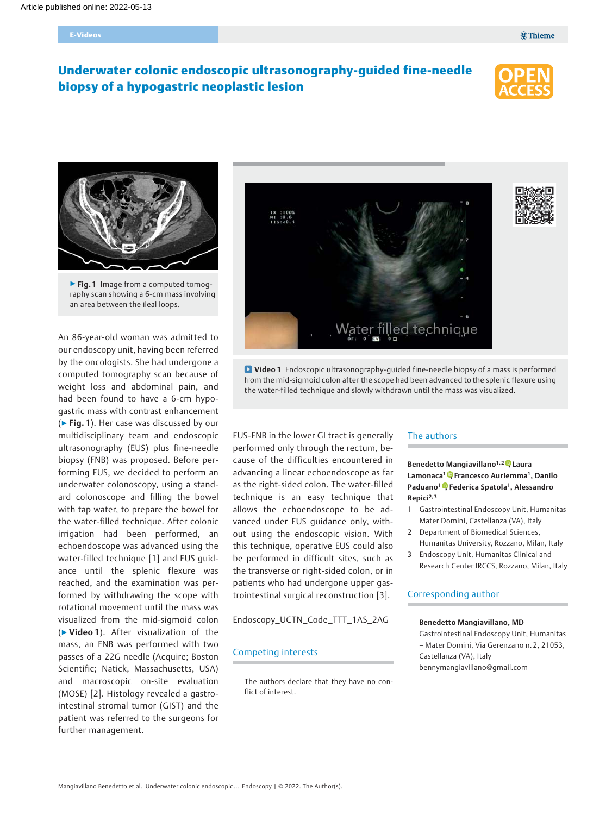#### E-Videos

# Underwater colonic endoscopic ultrasonography-guided fine-needle biopsy of a hypogastric neoplastic lesion





▶ Fig. 1 Image from a computed tomography scan showing a 6-cm mass involving an area between the ileal loops.

An 86-year-old woman was admitted to our endoscopy unit, having been referred by the oncologists. She had undergone a computed tomography scan because of weight loss and abdominal pain, and had been found to have a 6-cm hypogastric mass with contrast enhancement  $(\triangleright$  Fig. 1). Her case was discussed by our multidisciplinary team and endoscopic ultrasonography (EUS) plus fine-needle biopsy (FNB) was proposed. Before performing EUS, we decided to perform an underwater colonoscopy, using a standard colonoscope and filling the bowel with tap water, to prepare the bowel for the water-filled technique. After colonic irrigation had been performed, an echoendoscope was advanced using the water-filled technique [1] and EUS guidance until the splenic flexure was reached, and the examination was performed by withdrawing the scope with rotational movement until the mass was visualized from the mid-sigmoid colon (▶Video 1). After visualization of the mass, an FNB was performed with two passes of a 22G needle (Acquire; Boston Scientific; Natick, Massachusetts, USA) and macroscopic on-site evaluation (MOSE) [2]. Histology revealed a gastrointestinal stromal tumor (GIST) and the patient was referred to the surgeons for further management.



Video 1 Endoscopic ultrasonography-guided fine-needle biopsy of a mass is performed from the mid-sigmoid colon after the scope had been advanced to the splenic flexure using the water-filled technique and slowly withdrawn until the mass was visualized.

EUS-FNB in the lower GI tract is generally performed only through the rectum, because of the difficulties encountered in advancing a linear echoendoscope as far as the right-sided colon. The water-filled technique is an easy technique that allows the echoendoscope to be advanced under EUS guidance only, without using the endoscopic vision. With this technique, operative EUS could also be performed in difficult sites, such as the transverse or right-sided colon, or in patients who had undergone upper gastrointestinal surgical reconstruction [3].

Endoscopy\_UCTN\_Code\_TTT\_1AS\_2AG

## Competing interests

The authors declare that they have no conflict of interest.

#### The authors

## Benedetto Mangiavillano<sup>1[,](https://orcid.org/0000-0003-0611-7448)2</sup> Laura Lamonaca<sup>1</sup><sup>0</sup>[,](https://orcid.org/0000-0003-3237-2450) Francesco Auriemma<sup>1</sup>, Danilo Paduano<sup>1</sup><sup>0</sup>[,](https://orcid.org/0000-0003-2732-0840) Federica Spatola<sup>1</sup>, Alessandro Repici<sup>2, 3</sup>

- 1 Gastrointestinal Endoscopy Unit, Humanitas Mater Domini, Castellanza (VA), Italy
- 2 Department of Biomedical Sciences, Humanitas University, Rozzano, Milan, Italy
- 3 Endoscopy Unit, Humanitas Clinical and Research Center IRCCS, Rozzano, Milan, Italy

## Corresponding author

#### Benedetto Mangiavillano, MD

Gastrointestinal Endoscopy Unit, Humanitas – Mater Domini, Via Gerenzano n. 2, 21053, Castellanza (VA), Italy bennymangiavillano@gmail.com